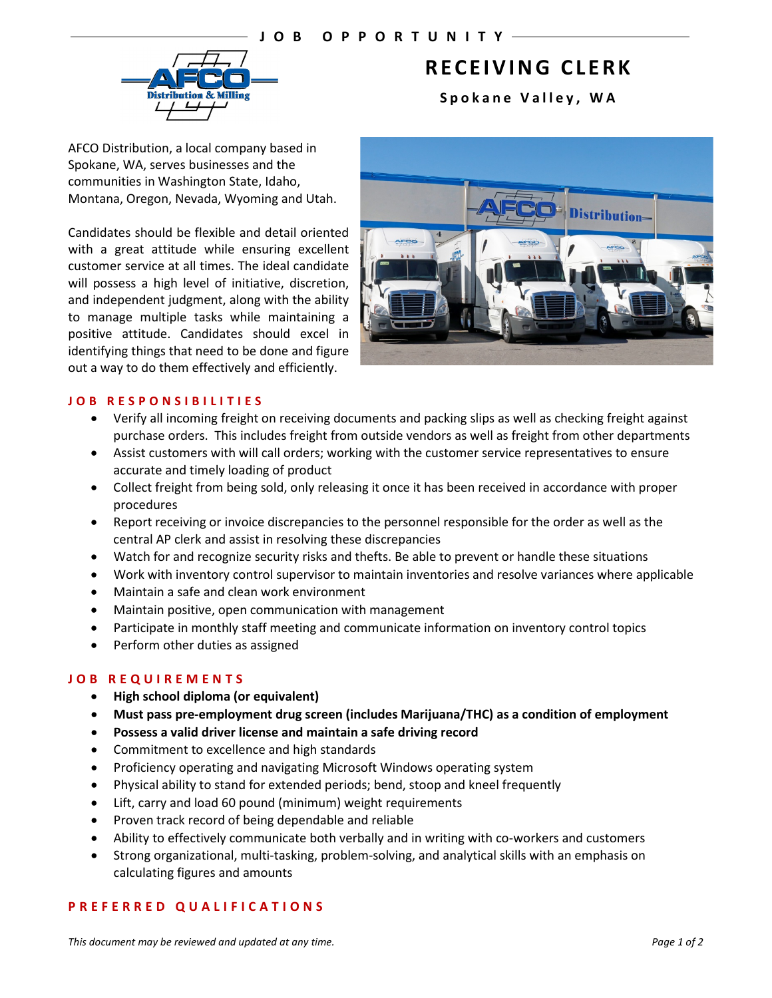

# **RECEIVING CLERK**

**Spokane Valley , WA**

AFCO Distribution, a local company based in Spokane, WA, serves businesses and the communities in Washington State, Idaho, Montana, Oregon, Nevada, Wyoming and Utah.

Candidates should be flexible and detail oriented with a great attitude while ensuring excellent customer service at all times. The ideal candidate will possess a high level of initiative, discretion, and independent judgment, along with the ability to manage multiple tasks while maintaining a positive attitude. Candidates should excel in identifying things that need to be done and figure out a way to do them effectively and efficiently.



## **JOB RESPONSIBILITIES**

- Verify all incoming freight on receiving documents and packing slips as well as checking freight against purchase orders. This includes freight from outside vendors as well as freight from other departments
- Assist customers with will call orders; working with the customer service representatives to ensure accurate and timely loading of product
- Collect freight from being sold, only releasing it once it has been received in accordance with proper procedures
- Report receiving or invoice discrepancies to the personnel responsible for the order as well as the central AP clerk and assist in resolving these discrepancies
- Watch for and recognize security risks and thefts. Be able to prevent or handle these situations
- Work with inventory control supervisor to maintain inventories and resolve variances where applicable
- Maintain a safe and clean work environment
- Maintain positive, open communication with management
- Participate in monthly staff meeting and communicate information on inventory control topics
- Perform other duties as assigned

# **JOB REQUIREMENTS**

- **High school diploma (or equivalent)**
- **Must pass pre-employment drug screen (includes Marijuana/THC) as a condition of employment**
- **Possess a valid driver license and maintain a safe driving record**
- Commitment to excellence and high standards
- Proficiency operating and navigating Microsoft Windows operating system
- Physical ability to stand for extended periods; bend, stoop and kneel frequently
- Lift, carry and load 60 pound (minimum) weight requirements
- Proven track record of being dependable and reliable
- Ability to effectively communicate both verbally and in writing with co-workers and customers
- Strong organizational, multi-tasking, problem-solving, and analytical skills with an emphasis on calculating figures and amounts

## **PREFERRED QUALIFICATIONS**